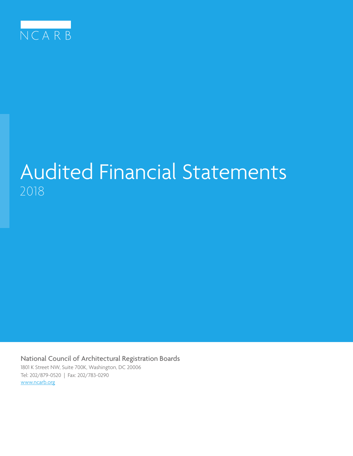

# Audited Financial Statements 2018

National Council of Architectural Registration Boards 1801 K Street NW, Suite 700K, Washington, DC 20006 Tel: 202/879-0520 | Fax: 202/783-0290 [www.ncarb.org](http://www.ncarb.org)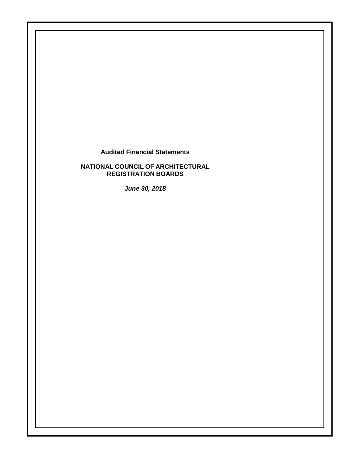**Audited Financial Statements**

**NATIONAL COUNCIL OF ARCHITECTURAL REGISTRATION BOARDS**

*June 30, 2018*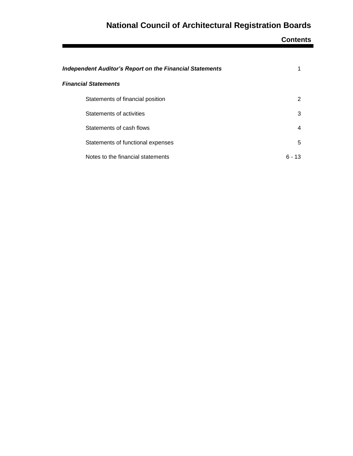**Contents**

| <b>Independent Auditor's Report on the Financial Statements</b> |           |
|-----------------------------------------------------------------|-----------|
| <b>Financial Statements</b>                                     |           |
| Statements of financial position                                | 2         |
| Statements of activities                                        | 3         |
| Statements of cash flows                                        | 4         |
| Statements of functional expenses                               | 5         |
| Notes to the financial statements                               | ճ -<br>13 |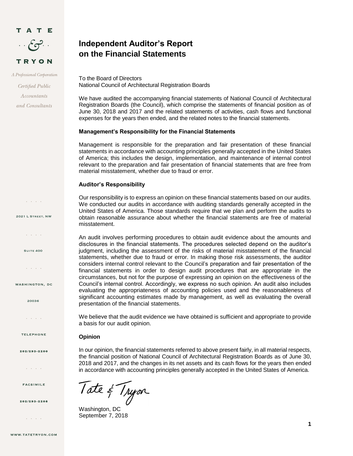

A Professional Corporation

Certified Public Accountants and Consultants

 $\mathcal{L} = \mathcal{L} \times \mathcal{L} \times \mathcal{L}$ 

2021 L Street, NW

 $\mathcal{L}^{\mathcal{A}}$  ,  $\mathcal{L}^{\mathcal{A}}$  ,  $\mathcal{L}^{\mathcal{A}}$  ,  $\mathcal{L}^{\mathcal{A}}$ 

**SUITE 400** 

 $\mathcal{L}^{\mathcal{A}}$  ,  $\mathcal{L}^{\mathcal{A}}$  ,  $\mathcal{L}^{\mathcal{A}}$  ,  $\mathcal{L}^{\mathcal{A}}$ 

WASHINGTON, DC

20036

 $\mathcal{L}^{\pm}$  ,  $\mathcal{L}^{\pm}$  ,  $\mathcal{L}^{\pm}$  ,  $\mathcal{L}^{\pm}$ 

**TELEPHONE** 

202/293-2200

and a state

**FACSIMILE** 

202/293-2208

and a state

### **Independent Auditor's Report on the Financial Statements**

To the Board of Directors National Council of Architectural Registration Boards

We have audited the accompanying financial statements of National Council of Architectural Registration Boards (the Council), which comprise the statements of financial position as of June 30, 2018 and 2017 and the related statements of activities, cash flows and functional expenses for the years then ended, and the related notes to the financial statements.

#### **Management's Responsibility for the Financial Statements**

Management is responsible for the preparation and fair presentation of these financial statements in accordance with accounting principles generally accepted in the United States of America; this includes the design, implementation, and maintenance of internal control relevant to the preparation and fair presentation of financial statements that are free from material misstatement, whether due to fraud or error.

#### **Auditor's Responsibility**

Our responsibility is to express an opinion on these financial statements based on our audits. We conducted our audits in accordance with auditing standards generally accepted in the United States of America. Those standards require that we plan and perform the audits to obtain reasonable assurance about whether the financial statements are free of material misstatement.

An audit involves performing procedures to obtain audit evidence about the amounts and disclosures in the financial statements. The procedures selected depend on the auditor's judgment, including the assessment of the risks of material misstatement of the financial statements, whether due to fraud or error. In making those risk assessments, the auditor considers internal control relevant to the Council's preparation and fair presentation of the financial statements in order to design audit procedures that are appropriate in the circumstances, but not for the purpose of expressing an opinion on the effectiveness of the Council's internal control. Accordingly, we express no such opinion. An audit also includes evaluating the appropriateness of accounting policies used and the reasonableness of significant accounting estimates made by management, as well as evaluating the overall presentation of the financial statements.

We believe that the audit evidence we have obtained is sufficient and appropriate to provide a basis for our audit opinion.

#### **Opinion**

In our opinion, the financial statements referred to above present fairly, in all material respects, the financial position of National Council of Architectural Registration Boards as of June 30, 2018 and 2017, and the changes in its net assets and its cash flows for the years then ended in accordance with accounting principles generally accepted in the United States of America.

Tate & Tryon

September 7, 2018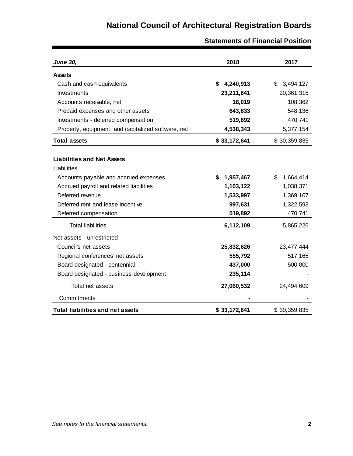| <b>June 30,</b>                                    | 2018           | 2017            |
|----------------------------------------------------|----------------|-----------------|
| <b>Assets</b>                                      |                |                 |
| Cash and cash equivalents                          | 4,240,913<br>S | \$<br>3,494,127 |
| Investments                                        | 23,211,641     | 20,361,315      |
| Accounts receivable, net                           | 18,019         | 108,362         |
| Prepaid expenses and other assets                  | 643,833        | 548,136         |
| Investments - deferred compensation                | 519,892        | 470,741         |
| Property, equipment, and capitalized software, net | 4,538,343      | 5,377,154       |
| <b>Total assets</b>                                | \$33,172,641   | \$30,359,835    |
|                                                    |                |                 |
| <b>Liabilities and Net Assets</b>                  |                |                 |
| Liabilities                                        |                |                 |
| Accounts payable and accrued expenses              | 1,957,467<br>S | \$<br>1,664,414 |
| Accrued payroll and related liabilities            | 1,103,122      | 1,038,371       |
| Deferred revenue                                   | 1,533,997      | 1,369,107       |
| Deferred rent and lease incentive                  | 997,631        | 1,322,593       |
| Deferred compensation                              | 519,892        | 470,741         |
| <b>Total liabilities</b>                           | 6,112,109      | 5,865,226       |
| Net assets - unrestricted                          |                |                 |
| Council's net assets                               | 25,832,626     | 23,477,444      |
| Regional conferences' net assets                   | 555,792        | 517,165         |
| Board designated - centennial                      | 437,000        | 500,000         |
| Board designated - business development            | 235,114        |                 |
| Total net assets                                   | 27,060,532     | 24,494,609      |
| Commitments                                        |                |                 |
| <b>Total liabilities and net assets</b>            | \$33,172,641   | \$30,359,835    |

**Statements of Financial Position**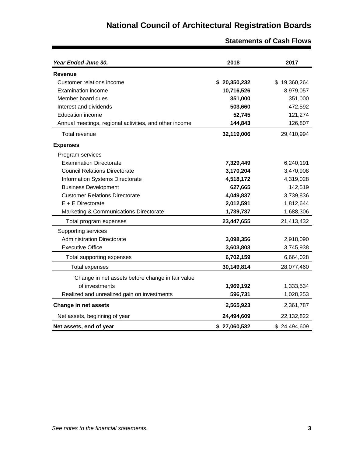| Year Ended June 30,                                    | 2018         | 2017         |
|--------------------------------------------------------|--------------|--------------|
| <b>Revenue</b>                                         |              |              |
| Customer relations income                              | \$20,350,232 | \$19,360,264 |
| Examination income                                     | 10,716,526   | 8,979,057    |
| Member board dues                                      | 351,000      | 351,000      |
| Interest and dividends                                 | 503,660      | 472,592      |
| <b>Education income</b>                                | 52,745       | 121,274      |
| Annual meetings, regional activities, and other income | 144,843      | 126,807      |
| Total revenue                                          | 32,119,006   | 29,410,994   |
| <b>Expenses</b>                                        |              |              |
| Program services                                       |              |              |
| <b>Examination Directorate</b>                         | 7,329,449    | 6,240,191    |
| <b>Council Relations Directorate</b>                   | 3,170,204    | 3,470,908    |
| Information Systems Directorate                        | 4,518,172    | 4,319,028    |
| <b>Business Development</b>                            | 627,665      | 142,519      |
| <b>Customer Relations Directorate</b>                  | 4,049,837    | 3,739,836    |
| $E + E$ Directorate                                    | 2,012,591    | 1,812,644    |
| Marketing & Communications Directorate                 | 1,739,737    | 1,688,306    |
| Total program expenses                                 | 23,447,655   | 21,413,432   |
| Supporting services                                    |              |              |
| <b>Administration Directorate</b>                      | 3,098,356    | 2,918,090    |
| <b>Executive Office</b>                                | 3,603,803    | 3,745,938    |
| Total supporting expenses                              | 6,702,159    | 6,664,028    |
| <b>Total expenses</b>                                  | 30,149,814   | 28,077,460   |
| Change in net assets before change in fair value       |              |              |
| of investments                                         | 1,969,192    | 1,333,534    |
| Realized and unrealized gain on investments            | 596,731      | 1,028,253    |
| <b>Change in net assets</b>                            | 2,565,923    | 2,361,787    |
| Net assets, beginning of year                          | 24,494,609   | 22,132,822   |
| Net assets, end of year                                | \$27,060,532 | \$24,494,609 |

**Statements of Cash Flows**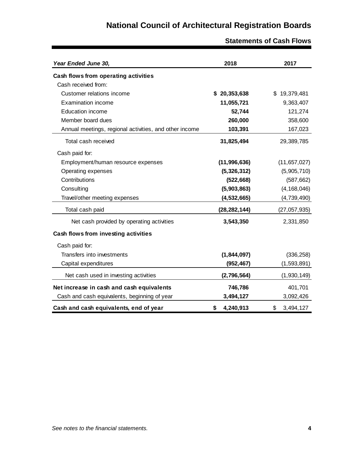| Year Ended June 30,                                    | 2018            | 2017            |
|--------------------------------------------------------|-----------------|-----------------|
| Cash flows from operating activities                   |                 |                 |
| Cash received from:                                    |                 |                 |
| Customer relations income                              | \$20,353,638    | \$19,379,481    |
| <b>Examination income</b>                              | 11,055,721      | 9,363,407       |
| <b>Education income</b>                                | 52,744          | 121,274         |
| Member board dues                                      | 260,000         | 358,600         |
| Annual meetings, regional activities, and other income | 103,391         | 167,023         |
| Total cash received                                    | 31,825,494      | 29,389,785      |
| Cash paid for:                                         |                 |                 |
| Employment/human resource expenses                     | (11, 996, 636)  | (11, 657, 027)  |
| Operating expenses                                     | (5,326,312)     | (5,905,710)     |
| Contributions                                          | (522, 668)      | (587, 662)      |
| Consulting                                             | (5,903,863)     | (4, 168, 046)   |
| Travel/other meeting expenses                          | (4, 532, 665)   | (4,739,490)     |
| Total cash paid                                        | (28, 282, 144)  | (27, 057, 935)  |
| Net cash provided by operating activities              | 3,543,350       | 2,331,850       |
| Cash flows from investing activities                   |                 |                 |
| Cash paid for:                                         |                 |                 |
| Transfers into investments                             | (1,844,097)     | (336, 258)      |
| Capital expenditures                                   | (952, 467)      | (1,593,891)     |
| Net cash used in investing activities                  | (2,796,564)     | (1,930,149)     |
| Net increase in cash and cash equivalents              | 746,786         | 401,701         |
| Cash and cash equivalents, beginning of year           | 3,494,127       | 3,092,426       |
| Cash and cash equivalents, end of year                 | \$<br>4,240,913 | \$<br>3,494,127 |

### **Statements of Cash Flows**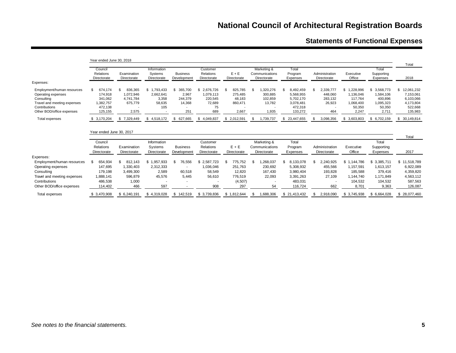# **Statements of Functional Expenses**

|                                                                                                                                             | Year ended June 30, 2018                                               |                                                                    |                                                    |                                                    |                                                                |                                                                  |                                                           |                                                                              |                                                        |                                                                      |                                                                      | Total                                                                     |
|---------------------------------------------------------------------------------------------------------------------------------------------|------------------------------------------------------------------------|--------------------------------------------------------------------|----------------------------------------------------|----------------------------------------------------|----------------------------------------------------------------|------------------------------------------------------------------|-----------------------------------------------------------|------------------------------------------------------------------------------|--------------------------------------------------------|----------------------------------------------------------------------|----------------------------------------------------------------------|---------------------------------------------------------------------------|
| Expenses:                                                                                                                                   | Council<br><b>Relations</b><br>Directorate                             | Examination<br>Directorate                                         | Information<br>Systems<br>Directorate              | <b>Business</b><br>Development                     | Customer<br>Relations<br>Directorate                           | $E + E$<br>Directorate                                           | Marketing &<br>Communications<br>Directorate              | Total<br>Program<br>Expenses                                                 | Administration<br>Directorate                          | Executive<br>Office                                                  | Total<br>Supporting<br>Expenses                                      | 2018                                                                      |
| Employment/human resources<br>Operating expenses<br>Consulting<br>Travel and meeting expenses<br>Contributions<br>Other BOD/office expenses | 674,174<br>\$<br>174,918<br>341.062<br>1,382,757<br>472,138<br>125,155 | 836,365<br>1,072,946<br>4,741,784<br>675,779<br>2,575              | \$1.793.433<br>2.662.641<br>3,358<br>58,635<br>105 | 365,700<br>\$<br>2,967<br>244,379<br>14,368<br>251 | 2.676.726<br>\$<br>1.079.113<br>220,545<br>72,689<br>75<br>689 | 825,785<br>\$.<br>275.485<br>48.183<br>860,471<br>2,667          | 1,320,276<br>-\$<br>300,885<br>102,859<br>13,782<br>1,935 | 8,492,459<br>\$<br>5,568,955<br>5,702,170<br>3,078,481<br>472,318<br>133,272 | 2,339,777<br>\$<br>448,060<br>283,132<br>26,923<br>464 | \$1,228,996<br>1,136,046<br>117.764<br>1,068,400<br>50,350<br>2.247  | \$3,568,773<br>1,584,106<br>400,896<br>1,095,323<br>50,350<br>2,711  | \$12,061,232<br>7,153,061<br>6,103,066<br>4,173,804<br>522,668<br>135,983 |
| Total expenses                                                                                                                              | \$3,170,204                                                            | \$7,329,449                                                        | \$4,518,172                                        | 627,665<br>S.                                      | \$4,049,837                                                    | \$2,012,591                                                      | 1,739,737                                                 | \$ 23,447,655                                                                | 3,098,356<br>-S                                        | 3,603,803<br>\$.                                                     | \$6,702,159                                                          | \$30,149,814                                                              |
|                                                                                                                                             | Year ended June 30, 2017                                               |                                                                    |                                                    |                                                    |                                                                |                                                                  |                                                           |                                                                              |                                                        |                                                                      |                                                                      |                                                                           |
|                                                                                                                                             |                                                                        |                                                                    |                                                    |                                                    |                                                                |                                                                  |                                                           |                                                                              |                                                        |                                                                      |                                                                      | Total                                                                     |
|                                                                                                                                             | Council<br>Relations<br>Directorate                                    | Examination<br>Directorate                                         | Information<br>Systems<br>Directorate              | <b>Business</b><br>Development                     | Customer<br>Relations<br>Directorate                           | $E + E$<br>Directorate                                           | Marketing &<br>Communications<br>Directorate              | Total<br>Program<br>Expenses                                                 | Administration<br>Directorate                          | Executive<br>Office                                                  | Total<br>Supporting<br>Expenses                                      | 2017                                                                      |
| Expenses:                                                                                                                                   |                                                                        |                                                                    |                                                    |                                                    |                                                                |                                                                  |                                                           |                                                                              |                                                        |                                                                      |                                                                      |                                                                           |
| Employment/human resources<br>Operating expenses<br>Consulting<br>Travel and meeting expenses<br>Contributions<br>Other BOD/office expenses | \$<br>654,934<br>147,695<br>179,198<br>1,888,141<br>486,538<br>114,402 | \$<br>812,143<br>1,330,403<br>3,499,300<br>596,879<br>1,000<br>466 | \$1,957,933<br>2,312,333<br>2,589<br>45,576<br>597 | \$<br>76,556<br>60,518<br>5.445                    | \$2,587,723<br>1,036,046<br>58,549<br>56,610<br>908            | \$<br>775,752<br>251,763<br>12,820<br>776,519<br>(4, 507)<br>297 | \$<br>1,268,037<br>230,692<br>167,430<br>22,093<br>54     | \$<br>8,133,078<br>5,308,932<br>3,980,404<br>3,391,263<br>483,031<br>116,724 | \$<br>2,240,925<br>455,566<br>193,828<br>27,109<br>662 | \$1,144,786<br>1,157,591<br>185,588<br>1,144,740<br>104,532<br>8,701 | \$3,385,711<br>1,613,157<br>379,416<br>1,171,849<br>104,532<br>9,363 | \$11,518,789<br>6,922,089<br>4,359,820<br>4,563,112<br>587,563<br>126,087 |
| Total expenses                                                                                                                              | \$3.470.908                                                            | \$ 6.240.191                                                       | \$4.319.028                                        | \$<br>142.519                                      | 3.739.836<br>\$                                                | \$1,812,644                                                      | .688.306<br>S.                                            | 21.413.432<br>\$.                                                            | 2.918.090                                              | \$3.745.938                                                          | 6.664.028<br>\$                                                      | \$28,077,460                                                              |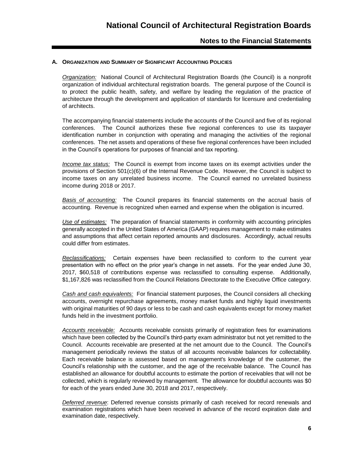#### **A. ORGANIZATION AND SUMMARY OF SIGNIFICANT ACCOUNTING POLICIES**

*Organization:* National Council of Architectural Registration Boards (the Council) is a nonprofit organization of individual architectural registration boards. The general purpose of the Council is to protect the public health, safety, and welfare by leading the regulation of the practice of architecture through the development and application of standards for licensure and credentialing of architects.

The accompanying financial statements include the accounts of the Council and five of its regional conferences. The Council authorizes these five regional conferences to use its taxpayer identification number in conjunction with operating and managing the activities of the regional conferences. The net assets and operations of these five regional conferences have been included in the Council's operations for purposes of financial and tax reporting.

*Income tax status:* The Council is exempt from income taxes on its exempt activities under the provisions of Section 501(c)(6) of the Internal Revenue Code. However, the Council is subject to income taxes on any unrelated business income. The Council earned no unrelated business income during 2018 or 2017.

*Basis of accounting:* The Council prepares its financial statements on the accrual basis of accounting. Revenue is recognized when earned and expense when the obligation is incurred.

*Use of estimates:* The preparation of financial statements in conformity with accounting principles generally accepted in the United States of America (GAAP) requires management to make estimates and assumptions that affect certain reported amounts and disclosures. Accordingly, actual results could differ from estimates.

*Reclassifications:* Certain expenses have been reclassified to conform to the current year presentation with no effect on the prior year's change in net assets. For the year ended June 30, 2017, \$60,518 of contributions expense was reclassified to consulting expense. Additionally, \$1,167,826 was reclassified from the Council Relations Directorate to the Executive Office category.

*Cash and cash equivalents:* For financial statement purposes, the Council considers all checking accounts, overnight repurchase agreements, money market funds and highly liquid investments with original maturities of 90 days or less to be cash and cash equivalents except for money market funds held in the investment portfolio.

*Accounts receivable:* Accounts receivable consists primarily of registration fees for examinations which have been collected by the Council's third-party exam administrator but not yet remitted to the Council. Accounts receivable are presented at the net amount due to the Council. The Council's management periodically reviews the status of all accounts receivable balances for collectability. Each receivable balance is assessed based on management's knowledge of the customer, the Council's relationship with the customer, and the age of the receivable balance. The Council has established an allowance for doubtful accounts to estimate the portion of receivables that will not be collected, which is regularly reviewed by management. The allowance for doubtful accounts was \$0 for each of the years ended June 30, 2018 and 2017, respectively.

*Deferred revenue*: Deferred revenue consists primarily of cash received for record renewals and examination registrations which have been received in advance of the record expiration date and examination date, respectively.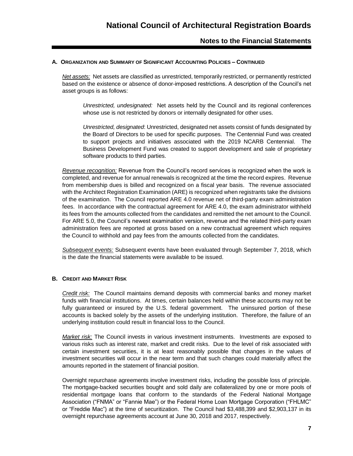#### **A. ORGANIZATION AND SUMMARY OF SIGNIFICANT ACCOUNTING POLICIES – CONTINUED**

*Net assets:* Net assets are classified as unrestricted, temporarily restricted, or permanently restricted based on the existence or absence of donor-imposed restrictions. A description of the Council's net asset groups is as follows:

*Unrestricted, undesignated:* Net assets held by the Council and its regional conferences whose use is not restricted by donors or internally designated for other uses.

*Unrestricted, designated*: Unrestricted, designated net assets consist of funds designated by the Board of Directors to be used for specific purposes. The Centennial Fund was created to support projects and initiatives associated with the 2019 NCARB Centennial. The Business Development Fund was created to support development and sale of proprietary software products to third parties.

*Revenue recognition:* Revenue from the Council's record services is recognized when the work is completed, and revenue for annual renewals is recognized at the time the record expires. Revenue from membership dues is billed and recognized on a fiscal year basis. The revenue associated with the Architect Registration Examination (ARE) is recognized when registrants take the divisions of the examination. The Council reported ARE 4.0 revenue net of third-party exam administration fees. In accordance with the contractual agreement for ARE 4.0, the exam administrator withheld its fees from the amounts collected from the candidates and remitted the net amount to the Council. For ARE 5.0, the Council's newest examination version, revenue and the related third-party exam administration fees are reported at gross based on a new contractual agreement which requires the Council to withhold and pay fees from the amounts collected from the candidates.

*Subsequent events:* Subsequent events have been evaluated through September 7, 2018, which is the date the financial statements were available to be issued.

#### **B. CREDIT AND MARKET RISK**

*Credit risk:* The Council maintains demand deposits with commercial banks and money market funds with financial institutions. At times, certain balances held within these accounts may not be fully guaranteed or insured by the U.S. federal government. The uninsured portion of these accounts is backed solely by the assets of the underlying institution. Therefore, the failure of an underlying institution could result in financial loss to the Council.

*Market risk:* The Council invests in various investment instruments. Investments are exposed to various risks such as interest rate, market and credit risks. Due to the level of risk associated with certain investment securities, it is at least reasonably possible that changes in the values of investment securities will occur in the near term and that such changes could materially affect the amounts reported in the statement of financial position.

Overnight repurchase agreements involve investment risks, including the possible loss of principle. The mortgage-backed securities bought and sold daily are collateralized by one or more pools of residential mortgage loans that conform to the standards of the Federal National Mortgage Association ("FNMA" or "Fannie Mae") or the Federal Home Loan Mortgage Corporation ("FHLMC" or "Freddie Mac") at the time of securitization. The Council had \$3,488,399 and \$2,903,137 in its overnight repurchase agreements account at June 30, 2018 and 2017, respectively.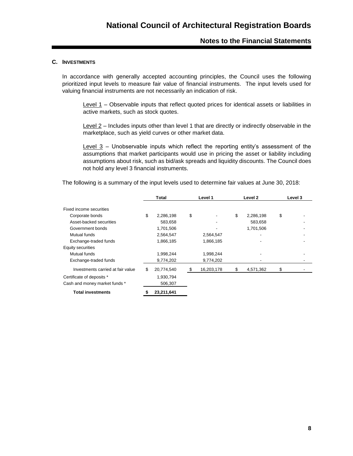#### **C. INVESTMENTS**

In accordance with generally accepted accounting principles, the Council uses the following prioritized input levels to measure fair value of financial instruments. The input levels used for valuing financial instruments are not necessarily an indication of risk.

Level 1 – Observable inputs that reflect quoted prices for identical assets or liabilities in active markets, such as stock quotes.

Level 2 – Includes inputs other than level 1 that are directly or indirectly observable in the marketplace, such as yield curves or other market data.

Level 3 – Unobservable inputs which reflect the reporting entity's assessment of the assumptions that market participants would use in pricing the asset or liability including assumptions about risk, such as bid/ask spreads and liquidity discounts. The Council does not hold any level 3 financial instruments.

The following is a summary of the input levels used to determine fair values at June 30, 2018:

|                                   | Total            | Level 1          | Level 2         | Level 3 |
|-----------------------------------|------------------|------------------|-----------------|---------|
| Fixed income securities           |                  |                  |                 |         |
| Corporate bonds                   | \$<br>2,286,198  | \$               | \$<br>2,286,198 | \$      |
| Asset-backed securities           | 583,658          |                  | 583.658         |         |
| Government bonds                  | 1,701,506        |                  | 1,701,506       |         |
| Mutual funds                      | 2,564,547        | 2,564,547        |                 |         |
| Exchange-traded funds             | 1,866,185        | 1,866,185        |                 |         |
| Equity securities                 |                  |                  |                 |         |
| Mutual funds                      | 1,998,244        | 1,998,244        |                 |         |
| Exchange-traded funds             | 9,774,202        | 9,774,202        |                 |         |
| Investments carried at fair value | \$<br>20,774,540 | \$<br>16,203,178 | \$<br>4,571,362 | \$      |
| Certificate of deposits *         | 1,930,794        |                  |                 |         |
| Cash and money market funds *     | 506,307          |                  |                 |         |
| <b>Total investments</b>          | 23,211,641       |                  |                 |         |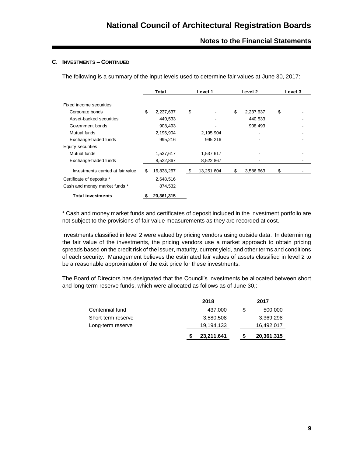#### **C. INVESTMENTS – CONTINUED**

The following is a summary of the input levels used to determine fair values at June 30, 2017:

|                                   | Total |            | Level 1          | Level 2         | Level 3 |  |
|-----------------------------------|-------|------------|------------------|-----------------|---------|--|
| Fixed income securities           |       |            |                  |                 |         |  |
| Corporate bonds                   | \$    | 2,237,637  | \$               | \$<br>2,237,637 | \$      |  |
| Asset-backed securities           |       | 440,533    |                  | 440,533         |         |  |
| Government bonds                  |       | 908,493    |                  | 908,493         |         |  |
| Mutual funds                      |       | 2,195,904  | 2,195,904        | ۰               |         |  |
| Exchange-traded funds             |       | 995,216    | 995,216          |                 |         |  |
| Equity securities                 |       |            |                  |                 |         |  |
| Mutual funds                      |       | 1,537,617  | 1,537,617        |                 |         |  |
| Exchange-traded funds             |       | 8,522,867  | 8,522,867        |                 |         |  |
| Investments carried at fair value | \$    | 16,838,267 | \$<br>13,251,604 | \$<br>3,586,663 | \$      |  |
| Certificate of deposits *         |       | 2,648,516  |                  |                 |         |  |
| Cash and money market funds *     |       | 874,532    |                  |                 |         |  |
| <b>Total investments</b>          | S     | 20,361,315 |                  |                 |         |  |

\* Cash and money market funds and certificates of deposit included in the investment portfolio are not subject to the provisions of fair value measurements as they are recorded at cost.

Investments classified in level 2 were valued by pricing vendors using outside data. In determining the fair value of the investments, the pricing vendors use a market approach to obtain pricing spreads based on the credit risk of the issuer, maturity, current yield, and other terms and conditions of each security. Management believes the estimated fair values of assets classified in level 2 to be a reasonable approximation of the exit price for these investments.

The Board of Directors has designated that the Council's investments be allocated between short and long-term reserve funds, which were allocated as follows as of June 30,:

|                    | 2018       |   | 2017       |
|--------------------|------------|---|------------|
| Centennial fund    | 437.000    | S | 500,000    |
| Short-term reserve | 3,580,508  |   | 3,369,298  |
| Long-term reserve  | 19,194,133 |   | 16,492,017 |
|                    | 23,211,641 |   | 20,361,315 |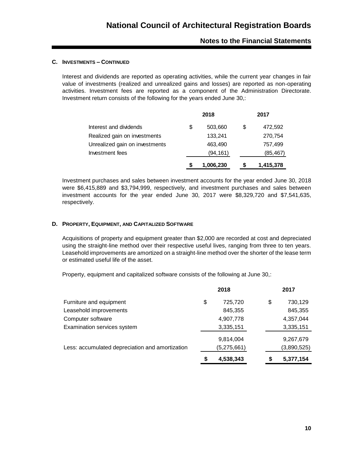#### **C. INVESTMENTS – CONTINUED**

Interest and dividends are reported as operating activities, while the current year changes in fair value of investments (realized and unrealized gains and losses) are reported as non-operating activities. Investment fees are reported as a component of the Administration Directorate. Investment return consists of the following for the years ended June 30,:

|                                | 2018          | 2017 |           |  |
|--------------------------------|---------------|------|-----------|--|
| Interest and dividends         | \$<br>503,660 | \$   | 472,592   |  |
| Realized gain on investments   | 133,241       |      | 270,754   |  |
| Unrealized gain on investments | 463,490       |      | 757.499   |  |
| Investment fees                | (94, 161)     |      | (85, 467) |  |
|                                | 1,006,230     |      | 1,415,378 |  |

Investment purchases and sales between investment accounts for the year ended June 30, 2018 were \$6,415,889 and \$3,794,999, respectively, and investment purchases and sales between investment accounts for the year ended June 30, 2017 were \$8,329,720 and \$7,541,635, respectively.

#### **D. PROPERTY, EQUIPMENT, AND CAPITALIZED SOFTWARE**

Acquisitions of property and equipment greater than \$2,000 are recorded at cost and depreciated using the straight-line method over their respective useful lives, ranging from three to ten years. Leasehold improvements are amortized on a straight-line method over the shorter of the lease term or estimated useful life of the asset.

Property, equipment and capitalized software consists of the following at June 30,:

|                                                 |    | 2018        |    | 2017        |
|-------------------------------------------------|----|-------------|----|-------------|
| Furniture and equipment                         | \$ | 725,720     | \$ | 730,129     |
| Leasehold improvements                          |    | 845,355     |    | 845,355     |
| Computer software                               |    | 4,907,778   |    | 4,357,044   |
| Examination services system                     |    | 3,335,151   |    | 3,335,151   |
|                                                 |    | 9,814,004   |    | 9,267,679   |
| Less: accumulated depreciation and amortization |    | (5,275,661) |    | (3,890,525) |
|                                                 | S  | 4,538,343   | \$ | 5,377,154   |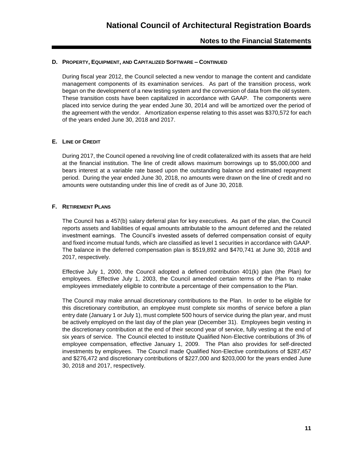#### **D. PROPERTY, EQUIPMENT, AND CAPITALIZED SOFTWARE – CONTINUED**

During fiscal year 2012, the Council selected a new vendor to manage the content and candidate management components of its examination services. As part of the transition process, work began on the development of a new testing system and the conversion of data from the old system. These transition costs have been capitalized in accordance with GAAP. The components were placed into service during the year ended June 30, 2014 and will be amortized over the period of the agreement with the vendor. Amortization expense relating to this asset was \$370,572 for each of the years ended June 30, 2018 and 2017.

#### **E. LINE OF CREDIT**

During 2017, the Council opened a revolving line of credit collateralized with its assets that are held at the financial institution. The line of credit allows maximum borrowings up to \$5,000,000 and bears interest at a variable rate based upon the outstanding balance and estimated repayment period. During the year ended June 30, 2018, no amounts were drawn on the line of credit and no amounts were outstanding under this line of credit as of June 30, 2018.

#### **F. RETIREMENT PLANS**

The Council has a 457(b) salary deferral plan for key executives. As part of the plan, the Council reports assets and liabilities of equal amounts attributable to the amount deferred and the related investment earnings. The Council's invested assets of deferred compensation consist of equity and fixed income mutual funds, which are classified as level 1 securities in accordance with GAAP. The balance in the deferred compensation plan is \$519,892 and \$470,741 at June 30, 2018 and 2017, respectively.

Effective July 1, 2000, the Council adopted a defined contribution  $401(k)$  plan (the Plan) for employees. Effective July 1, 2003, the Council amended certain terms of the Plan to make employees immediately eligible to contribute a percentage of their compensation to the Plan.

The Council may make annual discretionary contributions to the Plan. In order to be eligible for this discretionary contribution, an employee must complete six months of service before a plan entry date (January 1 or July 1), must complete 500 hours of service during the plan year, and must be actively employed on the last day of the plan year (December 31). Employees begin vesting in the discretionary contribution at the end of their second year of service, fully vesting at the end of six years of service. The Council elected to institute Qualified Non-Elective contributions of 3% of employee compensation, effective January 1, 2009. The Plan also provides for self-directed investments by employees. The Council made Qualified Non-Elective contributions of \$287,457 and \$276,472 and discretionary contributions of \$227,000 and \$203,000 for the years ended June 30, 2018 and 2017, respectively.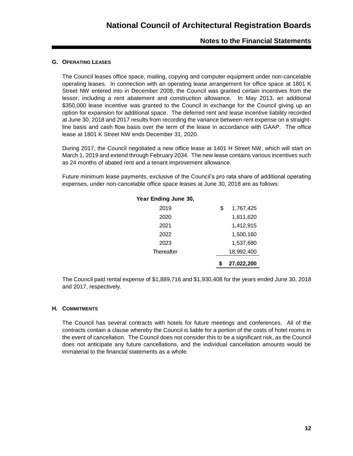#### **G. OPERATING LEASES**

The Council leases office space, mailing, copying and computer equipment under non-cancelable operating leases. In connection with an operating lease arrangement for office space at 1801 K Street NW entered into in December 2008, the Council was granted certain incentives from the lessor, including a rent abatement and construction allowance. In May 2013, an additional \$350,000 lease incentive was granted to the Council in exchange for the Council giving up an option for expansion for additional space. The deferred rent and lease incentive liability recorded at June 30, 2018 and 2017 results from recording the variance between rent expense on a straightline basis and cash flow basis over the term of the lease in accordance with GAAP. The office lease at 1801 K Street NW ends December 31, 2020.

During 2017, the Council negotiated a new office lease at 1401 H Street NW, which will start on March 1, 2019 and extend through February 2034. The new lease contains various incentives such as 24 months of abated rent and a tenant improvement allowance.

Future minimum lease payments, exclusive of the Council's pro rata share of additional operating expenses, under non-cancelable office space leases at June 30, 2018 are as follows:

| Year Ending June 30, |                 |  |
|----------------------|-----------------|--|
| 2019                 | \$<br>1,767,425 |  |
| 2020                 | 1,811,620       |  |
| 2021                 | 1,412,915       |  |
| 2022                 | 1,500,160       |  |
| 2023                 | 1,537,680       |  |
| Thereafter           | 18,992,400      |  |
|                      | 27,022,200      |  |

The Council paid rental expense of \$1,889,716 and \$1,930,408 for the years ended June 30, 2018 and 2017, respectively.

#### **H. COMMITMENTS**

The Council has several contracts with hotels for future meetings and conferences. All of the contracts contain a clause whereby the Council is liable for a portion of the costs of hotel rooms in the event of cancellation. The Council does not consider this to be a significant risk, as the Council does not anticipate any future cancellations, and the individual cancellation amounts would be immaterial to the financial statements as a whole.